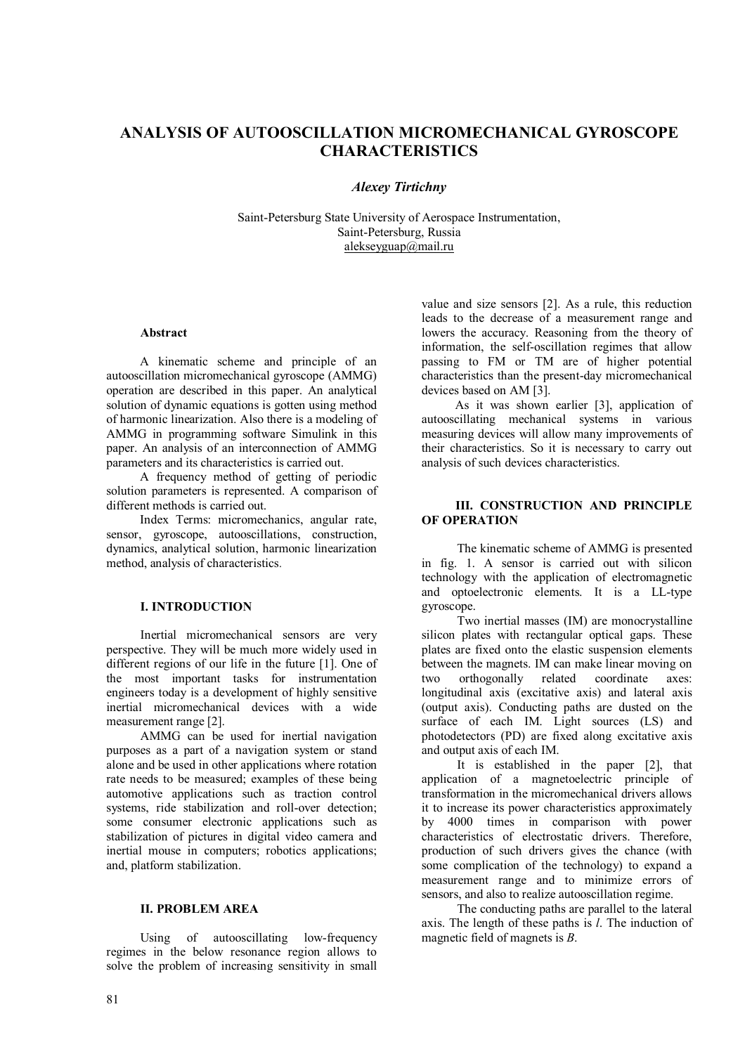# **ANALYSIS OF AUTOOSCILLATION MICROMECHANICAL GYROSCOPE CHARACTERISTICS**

# *Alexey Tirtichny*

Saint-Petersburg State University of Aerospace Instrumentation, Saint-Petersburg, Russia alekseyguap@mail.ru

# **Abstract**

A kinematic scheme and principle of an autooscillation micromechanical gyroscope (AMMG) operation are described in this paper. An analytical solution of dynamic equations is gotten using method of harmonic linearization. Also there is a modeling of AMMG in programming software Simulink in this paper. An analysis of an interconnection of AMMG parameters and its characteristics is carried out.

A frequency method of getting of periodic solution parameters is represented. A comparison of different methods is carried out.

Index Terms: micromechanics, angular rate, sensor, gyroscope, autooscillations, construction, dynamics, analytical solution, harmonic linearization method, analysis of characteristics.

### **I. INTRODUCTION**

Inertial micromechanical sensors are very perspective. They will be much more widely used in different regions of our life in the future [1]. One of the most important tasks for instrumentation engineers today is a development of highly sensitive inertial micromechanical devices with a wide measurement range [2].

AMMG can be used for inertial navigation purposes as a part of a navigation system or stand alone and be used in other applications where rotation rate needs to be measured; examples of these being automotive applications such as traction control systems, ride stabilization and roll-over detection; some consumer electronic applications such as stabilization of pictures in digital video camera and inertial mouse in computers; robotics applications; and, platform stabilization.

# **II. PROBLEM AREA**

Using of autooscillating low-frequency regimes in the below resonance region allows to solve the problem of increasing sensitivity in small

value and size sensors [2]. As a rule, this reduction leads to the decrease of a measurement range and lowers the accuracy. Reasoning from the theory of information, the self-oscillation regimes that allow passing to FM or TM are of higher potential characteristics than the present-day micromechanical devices based on AM [3].

As it was shown earlier [3], application of autooscillating mechanical systems in various measuring devices will allow many improvements of their characteristics. So it is necessary to carry out analysis of such devices characteristics.

# **III. CONSTRUCTION AND PRINCIPLE OF OPERATION**

The kinematic scheme of AMMG is presented in fig. 1. A sensor is carried out with silicon technology with the application of electromagnetic and optoelectronic elements. It is a LL-type gyroscope.

Two inertial masses (IM) are monocrystalline silicon plates with rectangular optical gaps. These plates are fixed onto the elastic suspension elements between the magnets. IM can make linear moving on two orthogonally related coordinate axes: longitudinal axis (excitative axis) and lateral axis (output axis). Conducting paths are dusted on the surface of each IM. Light sources (LS) and photodetectors (PD) are fixed along excitative axis and output axis of each IM.

It is established in the paper [2], that application of a magnetoelectric principle of transformation in the micromechanical drivers allows it to increase its power characteristics approximately by 4000 times in comparison with power characteristics of electrostatic drivers. Therefore, production of such drivers gives the chance (with some complication of the technology) to expand a measurement range and to minimize errors of sensors, and also to realize autooscillation regime.

The conducting paths are parallel to the lateral axis. The length of these paths is *l*. The induction of magnetic field of magnets is *B*.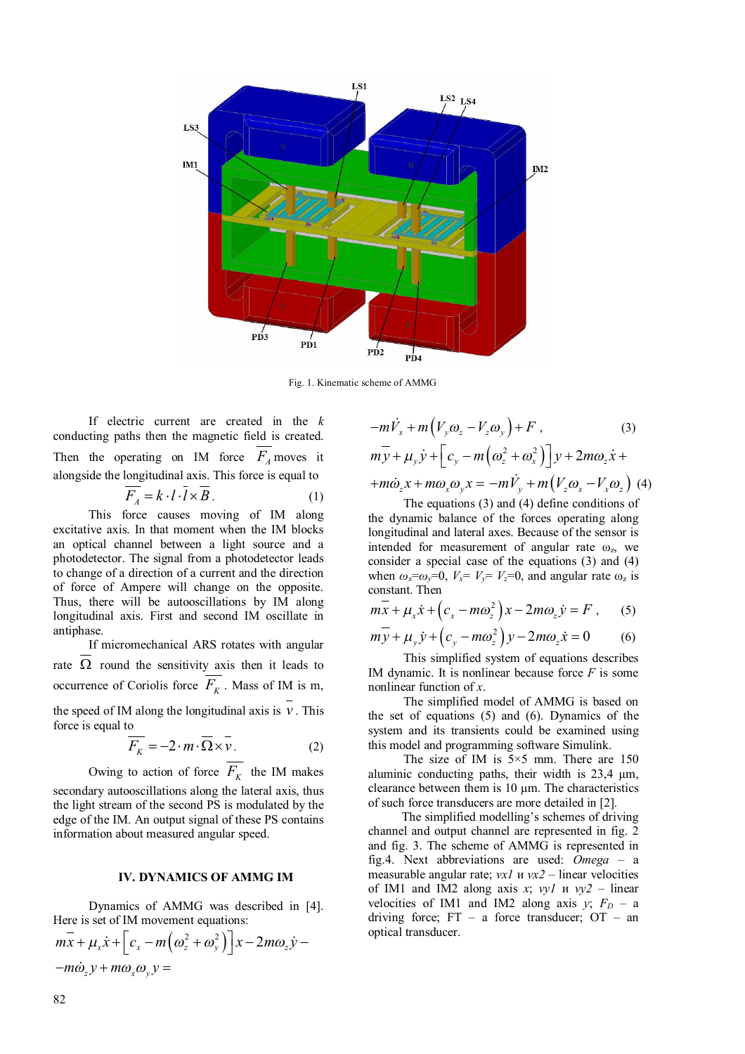

Fig. 1. Kinematic scheme of AMMG

If electric current are created in the *k* conducting paths then the magnetic field is created. Then the operating on IM force  $F_A$  moves it alongside the longitudinal axis. This force is equal to

$$
\overline{F_A} = k \cdot l \cdot \overline{l} \times \overline{B} \,. \tag{1}
$$

This force causes moving of IM along excitative axis. In that moment when the IM blocks an optical channel between a light source and a photodetector. The signal from a photodetector leads to change of a direction of a current and the direction of force of Ampere will change on the opposite. Thus, there will be autooscillations by IM along longitudinal axis. First and second IM oscillate in antiphase.

If micromechanical ARS rotates with angular rate  $\Omega$  round the sensitivity axis then it leads to occurrence of Coriolis force  $F<sub>K</sub>$ . Mass of IM is m,

the speed of IM along the longitudinal axis is  $\nu$ . This force is equal to

$$
\overline{F_K} = -2 \cdot m \cdot \overline{\Omega} \times \overline{v}.
$$
 (2)

Owing to action of force  $F<sub>K</sub>$  the IM makes secondary autooscillations along the lateral axis, thus the light stream of the second PS is modulated by the edge of the IM. An output signal of these PS contains information about measured angular speed.

#### **IV. DYNAMICS OF AMMG IM**

Dynamics of AMMG was described in [4]. Here is set of IM movement equations:

$$
m\overline{x} + \mu_x \dot{x} + \left[c_x - m\left(\omega_z^2 + \omega_y^2\right)\right]x - 2m\omega_z \dot{y} - m\dot{\omega}_z y + m\omega_x \omega_y y =
$$

$$
-m\dot{V}_x + m\left(V_y\omega_z - V_z\omega_y\right) + F, \qquad (3)
$$
  
\n
$$
m\ddot{V} + \mu_y \dot{V} + \left[C_y - m\left(\omega_z^2 + \omega_x^2\right)\right]V + 2m\omega_z \dot{x} +
$$
  
\n
$$
+m\dot{\omega}_z x + m\omega_x \omega_y x = -m\dot{V}_y + m\left(V_z\omega_x - V_x\omega_z\right) \tag{4}
$$

The equations (3) and (4) define conditions of the dynamic balance of the forces operating along longitudinal and lateral axes. Because of the sensor is intended for measurement of angular rate  $\omega_z$ , we consider a special case of the equations (3) and (4) when  $\omega_x = \omega_y = 0$ ,  $V_x = V_y = V_z = 0$ , and angular rate  $\omega_z$  is constant. Then

$$
m\overline{x} + \mu_x \dot{x} + (c_x - m\omega_z^2)x - 2m\omega_z \dot{y} = F , \qquad (5)
$$

$$
my + \mu_y \dot{y} + \left(c_y - m\omega_z^2\right) y - 2m\omega_z \dot{x} = 0 \tag{6}
$$

This simplified system of equations describes IM dynamic. It is nonlinear because force *F* is some nonlinear function of *x*.

The simplified model of AMMG is based on the set of equations (5) and (6). Dynamics of the system and its transients could be examined using this model and programming software Simulink.

The size of IM is  $5\times 5$  mm. There are 150 aluminic conducting paths, their width is  $23.4 \mu m$ , clearance between them is 10 µm. The characteristics of such force transducers are more detailed in [2].

The simplified modelling's schemes of driving channel and output channel are represented in fig. 2 and fig. 3. The scheme of AMMG is represented in fig.4. Next abbreviations are used: *Omega* – a measurable angular rate; *vx1* и *vx2* – linear velocities of IM1 and IM2 along axis  $x$ ;  $vyI$   $u$   $vy2$  – linear velocities of IM1 and IM2 along axis  $y$ ;  $F<sub>D</sub>$  – a driving force;  $FT - a$  force transducer;  $OT - an$ optical transducer.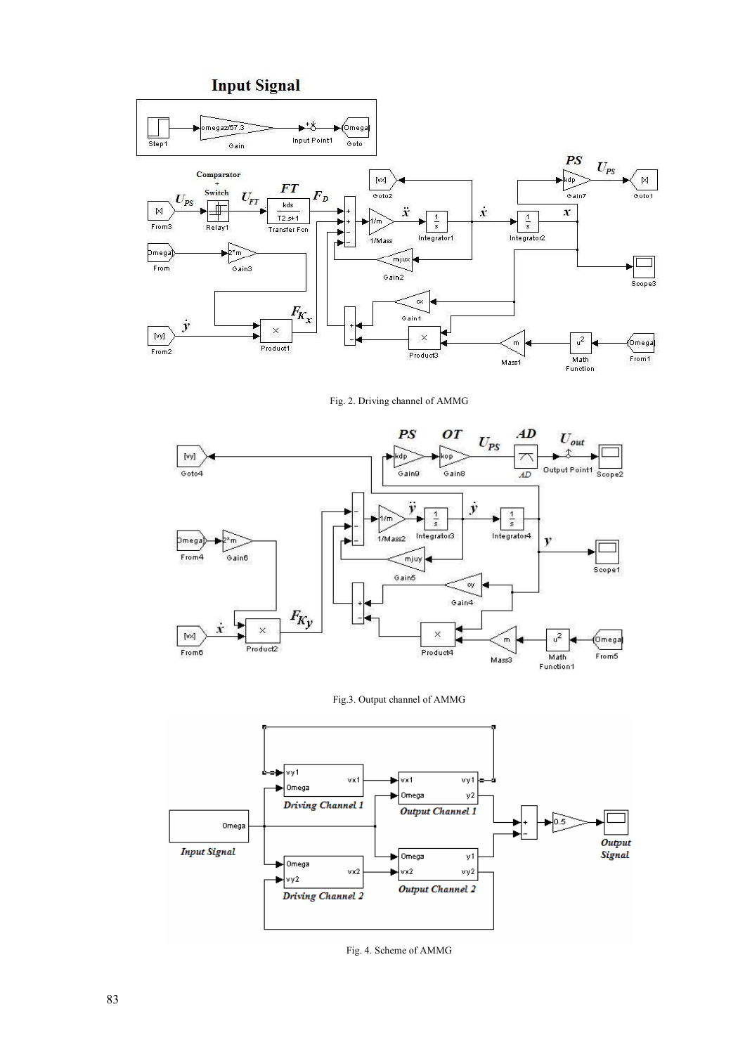





Fig.3. Output channel of AMMG



Fig. 4. Scheme of AMMG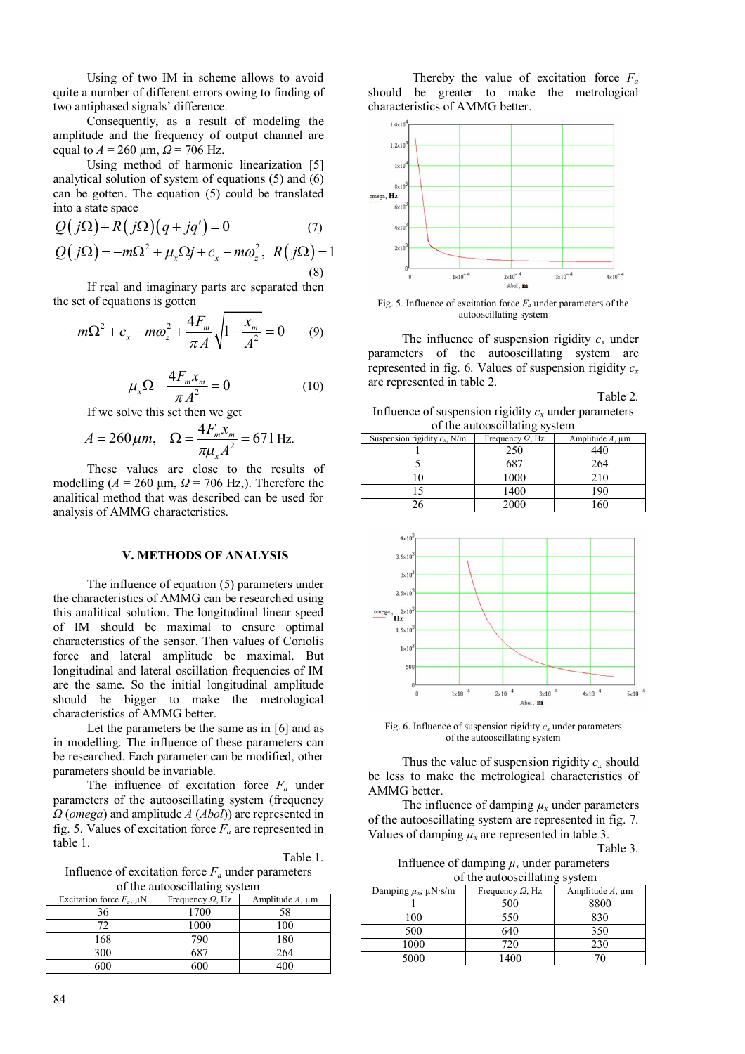Using of two IM in scheme allows to avoid quite a number of different errors owing to finding of two antiphased signals' difference.

Consequently, as a result of modeling the amplitude and the frequency of output channel are equal to  $A = 260 \text{ µm}$ ,  $Q = 706 \text{ Hz}$ .

Using method of harmonic linearization [5] analytical solution of system of equations (5) and (6) can be gotten. The equation (5) could be translated into a state space

$$
Q(j\Omega) + R(j\Omega)(q + jq') = 0 \qquad (7)
$$
  
 
$$
Q(j\Omega) = -m\Omega^2 + \mu_x\Omega j + c_x - m\omega_z^2, \ R(j\Omega) = 1 \qquad (8)
$$

If real and imaginary parts are separated then the set of equations is gotten

$$
-m\Omega^2 + c_x - m\omega_z^2 + \frac{4F_m}{\pi A} \sqrt{1 - \frac{x_m}{A^2}} = 0 \qquad (9)
$$

$$
\mu_x \Omega - \frac{4F_m x_m}{\pi A^2} = 0 \tag{10}
$$

If we solve this set then we get

$$
A = 260 \,\mu m, \quad \Omega = \frac{4 F_m x_m}{\pi \mu_x A^2} = 671 \,\text{Hz}.
$$

These values are close to the results of modelling ( $A = 260 \text{ µm}$ ,  $\Omega = 706 \text{ Hz}$ ). Therefore the analitical method that was described can be used for analysis of AMMG characteristics.

### **V. METHODS OF ANALYSIS**

The influence of equation (5) parameters under the characteristics of AMMG can be researched using this analitical solution. The longitudinal linear speed of IM should be maximal to ensure optimal characteristics of the sensor. Then values of Coriolis force and lateral amplitude be maximal. But longitudinal and lateral oscillation frequencies of IM are the same. So the initial longitudinal amplitude should be bigger to make the metrological characteristics of AMMG better.

Let the parameters be the same as in [6] and as in modelling. The influence of these parameters can be researched. Each parameter can be modified, other parameters should be invariable.

The influence of excitation force *F<sup>a</sup>* under parameters of the autooscillating system (frequency *Ω* (*omega*) and amplitude *A* (*Abol*)) are represented in fig. 5. Values of excitation force  $F_a$  are represented in table 1.

Table 1.

Influence of excitation force  $F_a$  under parameters of the autooscillating system

| Excitation force $F_a$ , $\mu$ N | Frequency $\Omega$ , Hz | Amplitude $A$ , $\mu$ m |
|----------------------------------|-------------------------|-------------------------|
| 36                               | 1700                    | 58                      |
| 72                               | 1000                    | 100                     |
| 168                              | 790                     | 180                     |
| 300                              | 687                     | 264                     |
| 600                              | 600                     | 400                     |
|                                  |                         |                         |

Thereby the value of excitation force *F<sup>a</sup>* should be greater to make the metrological characteristics of AMMG better.



Fig. 5. Influence of excitation force *Fa* under parameters of the autooscillating system

The influence of suspension rigidity  $c_x$  under parameters of the autooscillating system are represented in fig. 6. Values of suspension rigidity  $c_x$ are represented in table 2.

Table 2.

Influence of suspension rigidity  $c_x$  under parameters of the autooscillating system

| $\frac{1}{2}$ and weild $\frac{1}{2}$ and $\frac{1}{2}$ and $\frac{1}{2}$ are $\frac{1}{2}$ and $\frac{1}{2}$ are $\frac{1}{2}$ |                         |                         |  |
|---------------------------------------------------------------------------------------------------------------------------------|-------------------------|-------------------------|--|
| Suspension rigidity $c_x$ , N/m                                                                                                 | Frequency $\Omega$ , Hz | Amplitude $A$ , $\mu$ m |  |
|                                                                                                                                 | 250                     | 440                     |  |
|                                                                                                                                 | 687                     | 264                     |  |
|                                                                                                                                 | 1000                    | 210                     |  |
|                                                                                                                                 | 1400                    | 190                     |  |
|                                                                                                                                 | 2000                    | -60                     |  |



Fig. 6. Influence of suspension rigidity  $c_x$  under parameters of the autooscillating system

Thus the value of suspension rigidity  $c<sub>x</sub>$  should be less to make the metrological characteristics of AMMG better.

The influence of damping  $\mu$ <sub>x</sub> under parameters of the autooscillating system are represented in fig. 7. Values of damping  $\mu_x$  are represented in table 3.

Table 3.

Influence of damping  $\mu_x$  under parameters of the autooscillating system

| Damping $\mu_x$ , $\mu$ N·s/m | Frequency $\Omega$ , Hz | Amplitude $A$ , $\mu$ m |
|-------------------------------|-------------------------|-------------------------|
|                               | 500                     | 8800                    |
| 00                            | 550                     | 830                     |
| 500                           | 640                     | 350                     |
| 1000                          | 720                     | 230                     |
| 5000                          | 1400                    |                         |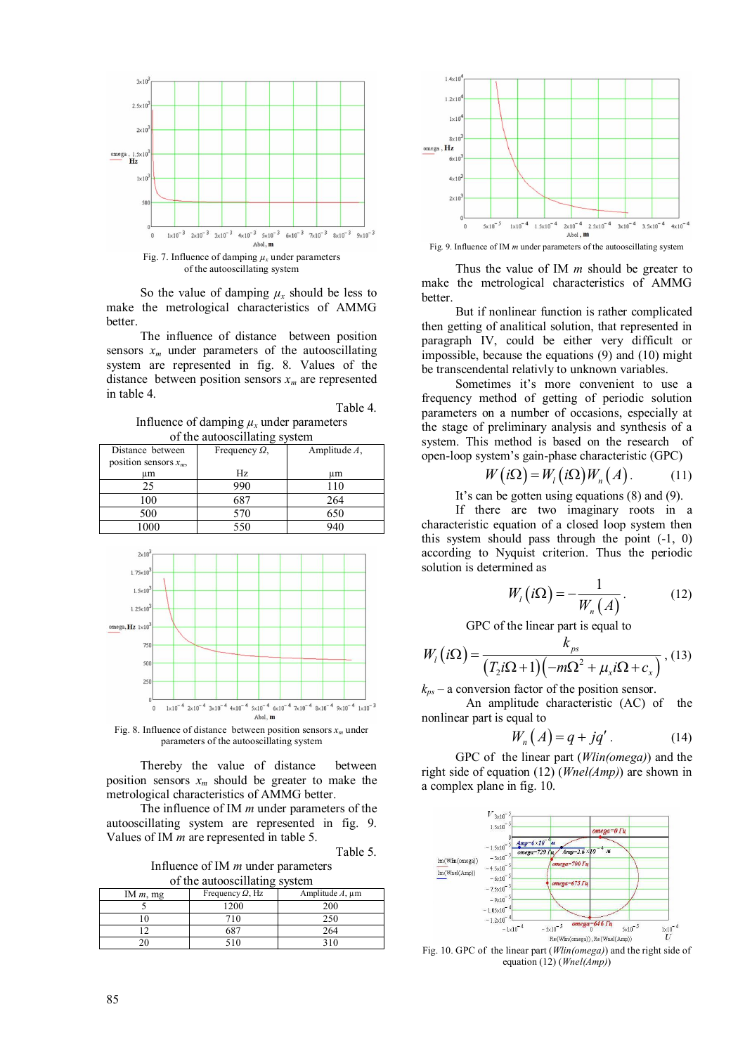

of the autooscillating system

So the value of damping  $\mu_x$  should be less to make the metrological characteristics of AMMG better.

The influence of distance between position sensors  $x_m$  under parameters of the autooscillating system are represented in fig. 8. Values of the distance between position sensors  $x_m$  are represented in table 4.

Table 4.

Influence of damping  $\mu_x$  under parameters  $\alpha$  the autooscillating  $\alpha$ 

| UT the autooscinating system |                      |                 |  |
|------------------------------|----------------------|-----------------|--|
| Distance between             | Frequency $\Omega$ , | Amplitude $A$ , |  |
| position sensors $x_m$ ,     |                      |                 |  |
| иm                           | Hz                   | иm              |  |
| 25                           | 990                  | 110             |  |
| 100                          | 687                  | 264             |  |
| 500                          | 570                  | 650             |  |
| 1000                         | 550                  | 940             |  |



Fig. 8. Influence of distance between position sensors  $x_m$  under parameters of the autooscillating system

Thereby the value of distance between position sensors  $x_m$  should be greater to make the metrological characteristics of AMMG better.

The influence of IM *m* under parameters of the autooscillating system are represented in fig. 9. Values of IM *m* are represented in table 5.

Table 5.

Influence of IM *m* under parameters of the autooscillating system

| IM $m$ , mg | Frequency $\Omega$ , Hz | Amplitude $A$ , $\mu$ m |
|-------------|-------------------------|-------------------------|
|             | 1200                    | 200                     |
|             | 710                     | 250                     |
|             | 687                     | 264                     |
|             | 510                     | 310                     |



Fig. 9. Influence of IM *m* under parameters of the autooscillating system

Thus the value of IM *m* should be greater to make the metrological characteristics of AMMG **better** 

But if nonlinear function is rather complicated then getting of analitical solution, that represented in paragraph IV, could be either very difficult or impossible, because the equations (9) and (10) might be transcendental relativly to unknown variables.

Sometimes it's more convenient to use a frequency method of getting of periodic solution parameters on a number of occasions, especially at the stage of preliminary analysis and synthesis of a system. This method is based on the research of open-loop system's gain-phase characteristic (GPC)

$$
W(i\Omega) = W_l(i\Omega)W_n(A).
$$
 (11)

It's can be gotten using equations  $(8)$  and  $(9)$ .

If there are two imaginary roots in a characteristic equation of a closed loop system then this system should pass through the point (-1, 0) according to Nyquist criterion. Thus the periodic solution is determined as

$$
W_i(i\Omega) = -\frac{1}{W_n(A)}.\t(12)
$$

GPC of the linear part is equal to

$$
W_{l}\left(i\Omega\right) = \frac{k_{ps}}{\left(T_{2}i\Omega + 1\right)\left(-m\Omega^{2} + \mu_{x}i\Omega + c_{x}\right)},
$$
 (13)

 $k_{ps}$  – a conversion factor of the position sensor.

An amplitude characteristic (AC) of the nonlinear part is equal to

$$
W_n(A) = q + jq' \tag{14}
$$

GPC of the linear part (*Wlin(omega)*) and the right side of equation (12) (*Wnel(Amp)*) are shown in a complex plane in fig. 10.



Fig. 10. GPC of the linear part (*Wlin(omega)*) and the right side of equation (12) (*Wnel(Amp)*)